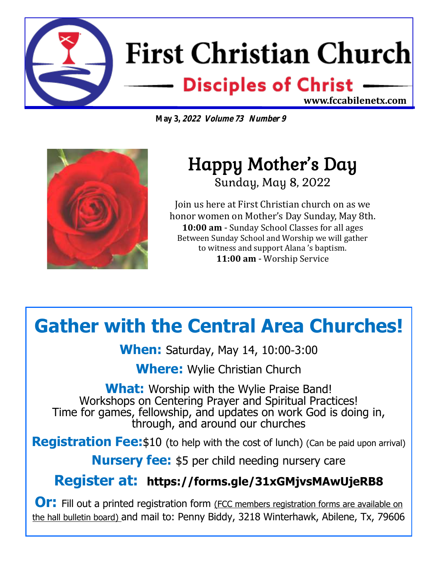

**May 3, 2022 Volume 73 Number 9**



## Happy Mother's Day Sunday, May 8, 2022

Join us here at First Christian church on as we honor women on Mother's Day Sunday, May 8th. **10:00 am** - Sunday School Classes for all ages Between Sunday School and Worship we will gather to witness and support Alana 's baptism. **11:00 am** - Worship Service

## **Gather with the Central Area Churches!**

**When:** Saturday, May 14, 10:00-3:00

**Where:** Wylie Christian Church

**What:** Worship with the Wylie Praise Band! Workshops on Centering Prayer and Spiritual Practices! Time for games, fellowship, and updates on work God is doing in, through, and around our churches

**Registration Fee:**\$10 (to help with the cost of lunch) (Can be paid upon arrival)

**Nursery fee:** \$5 per child needing nursery care

## **Register at: https://forms.gle/31xGMjvsMAwUjeRB8**

**Or:** Fill out a printed registration form (FCC members registration forms are available on the hall bulletin board) and mail to: Penny Biddy, 3218 Winterhawk, Abilene, Tx, 79606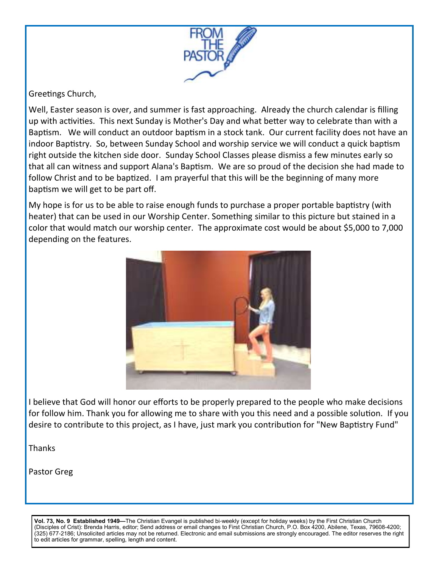

#### Greetings Church,

Well, Easter season is over, and summer is fast approaching. Already the church calendar is filling up with activities. This next Sunday is Mother's Day and what better way to celebrate than with a Baptism. We will conduct an outdoor baptism in a stock tank. Our current facility does not have an indoor Baptistry. So, between Sunday School and worship service we will conduct a quick baptism right outside the kitchen side door. Sunday School Classes please dismiss a few minutes early so that all can witness and support Alana's Baptism. We are so proud of the decision she had made to follow Christ and to be baptized. I am prayerful that this will be the beginning of many more baptism we will get to be part off.

My hope is for us to be able to raise enough funds to purchase a proper portable baptistry (with heater) that can be used in our Worship Center. Something similar to this picture but stained in a color that would match our worship center. The approximate cost would be about \$5,000 to 7,000 depending on the features.



I believe that God will honor our efforts to be properly prepared to the people who make decisions for follow him. Thank you for allowing me to share with you this need and a possible solution. If you desire to contribute to this project, as I have, just mark you contribution for "New Baptistry Fund"

Thanks

Pastor Greg

**Vol. 73, No. 9 Established 1949—**The Christian Evangel is published bi-weekly (except for holiday weeks) by the First Christian Church (Disciples of Crist): Brenda Harris, editor; Send address or email changes to First Christian Church, P.O. Box 4200, Abilene, Texas, 79608-4200; (325) 677-2186; Unsolicited articles may not be returned. Electronic and email submissions are strongly encouraged. The editor reserves the right to edit articles for grammar, spelling, length and content.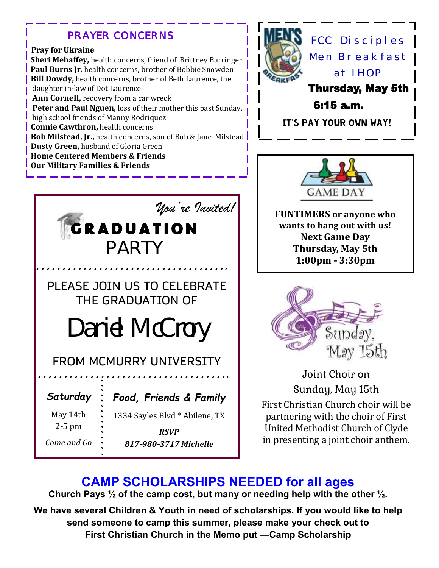### *PRAYER CONCERNS*

#### **Pray for Ukraine**

*Come and Go*

**Sheri Mehaffey,** health concerns, friend of Brittney Barringer Paul Burns Jr. health concerns, brother of Bobbie Snowden **Bill Dowdy,** health concerns, brother of Beth Laurence, the daughter in-law of Dot Laurence **Ann Cornell,** recovery from a car wreck  **Peter and Paul Nguen,** loss of their mother this past Sunday, high school friends of Manny Rodriquez **Connie Cawthron,** health concerns **Bob Milstead, Jr.,** health concerns, son of Bob & Jane Milstead **Dusty Green,** husband of Gloria Green **Home Centered Members & Friends Our Military Families & Friends**



*RSVP 817-980-3717 Michelle*



FCC Disciples Men Breakfast at IHOPThursday, May 5th 6:15 a.m.

It's pay your own way!



**FUNTIMERS or anyone who wants to hang out with us! Next Game Day Thursday, May 5th 1:00pm - 3:30pm**



Joint Choir on Sunday, May 15th First Christian Church choir will be partnering with the choir of First United Methodist Church of Clyde in presenting a joint choir anthem.

## **CAMP SCHOLARSHIPS NEEDED for all ages**

**Church Pays ½ of the camp cost, but many or needing help with the other ½.**

**We have several Children & Youth in need of scholarships. If you would like to help send someone to camp this summer, please make your check out to First Christian Church in the Memo put —Camp Scholarship**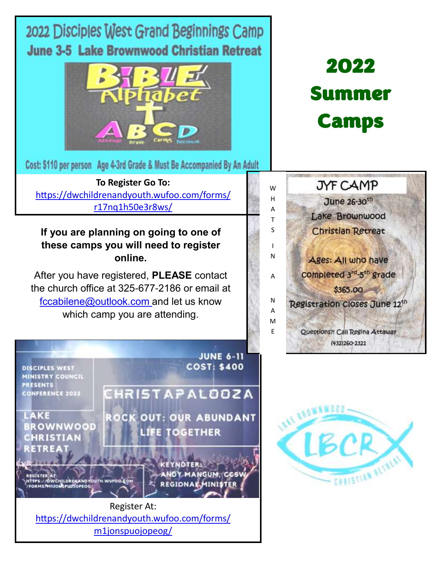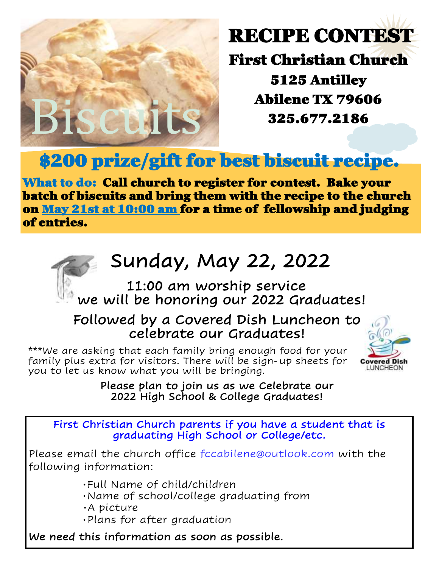

# RECIPE CONTEST

First Christian Church 5125 Antilley Abilene TX 79606 325.677.2186

## \$200 prize/gift for best biscuit recipe.

What to do: Call church to register for contest. Bake your batch of biscuits and bring them with the recipe to the church on May 21st at 10:00 am for a time of fellowship and judging of entries.

# Sunday, May 22, 2022

## 11:00 am worship service we will be honoring our 2022 Graduates!

## Followed by a Covered Dish Luncheon to celebrate our Graduates!

 \*\*\*We are asking that each family bring enough food for your family plus extra for visitors. There will be sign-up sheets for you to let us know what you will be bringing.



### Please plan to join us as we Celebrate our 2022 High School & College Graduates!

First Christian Church parents if you have a student that is graduating High School or College/etc.

Please email the church office fccabilene@outlook.com with the following information:

- Full Name of child/children
- Name of school/college graduating from
- A picture
- Plans for after graduation

We need this information as soon as possible.